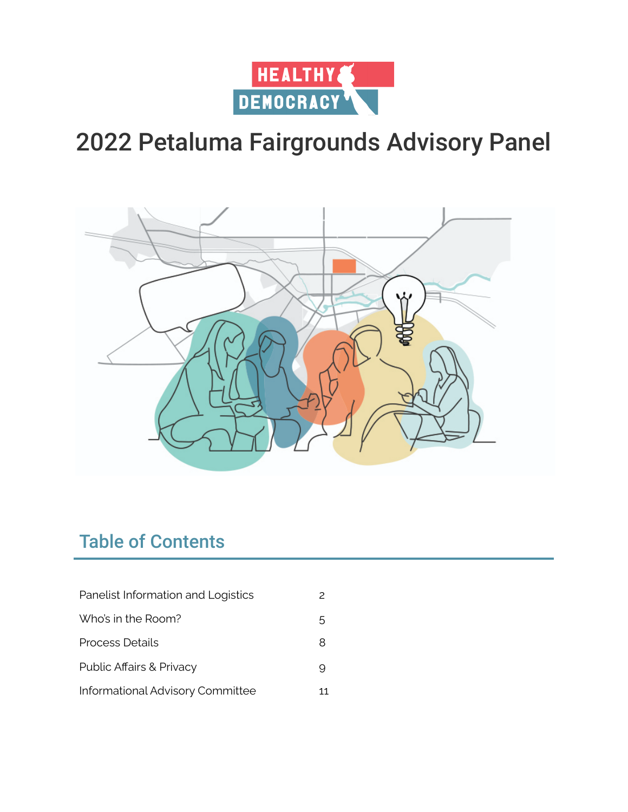



# Table of Contents

| Panelist Information and Logistics |    |
|------------------------------------|----|
| Who's in the Room?                 | 5. |
| Process Details                    | 8  |
| Public Affairs & Privacy           |    |
| Informational Advisory Committee   | 11 |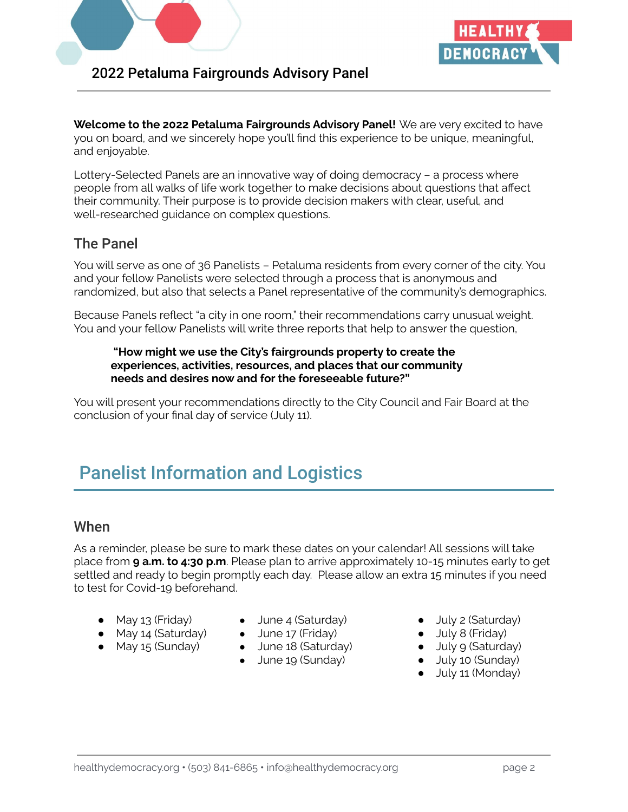



**Welcome to the 2022 Petaluma Fairgrounds Advisory Panel!** We are very excited to have you on board, and we sincerely hope you'll find this experience to be unique, meaningful, and enjoyable.

Lottery-Selected Panels are an innovative way of doing democracy – a process where people from all walks of life work together to make decisions about questions that affect their community. Their purpose is to provide decision makers with clear, useful, and well-researched guidance on complex questions.

# The Panel

You will serve as one of 36 Panelists – Petaluma residents from every corner of the city. You and your fellow Panelists were selected through a process that is anonymous and randomized, but also that selects a Panel representative of the community's demographics.

Because Panels reflect "a city in one room," their recommendations carry unusual weight. You and your fellow Panelists will write three reports that help to answer the question,

#### **"How might we use the City's fairgrounds property to create the experiences, activities, resources, and places that our community needs and desires now and for the foreseeable future?"**

You will present your recommendations directly to the City Council and Fair Board at the conclusion of your final day of service (July 11).

# Panelist Information and Logistics

### When

As a reminder, please be sure to mark these dates on your calendar! All sessions will take place from **9 a.m. to 4:30 p.m**. Please plan to arrive approximately 10-15 minutes early to get settled and ready to begin promptly each day. Please allow an extra 15 minutes if you need to test for Covid-19 beforehand.

- May 13 (Friday)
- May 14 (Saturday)
- May 15 (Sunday)
- June 4 (Saturday)
- June 17 (Friday)
- June 18 (Saturday)
- June 19 (Sunday)
- July 2 (Saturday)
- July 8 (Friday)
- July 9 (Saturday)
- July 10 (Sunday)
- July 11 (Monday)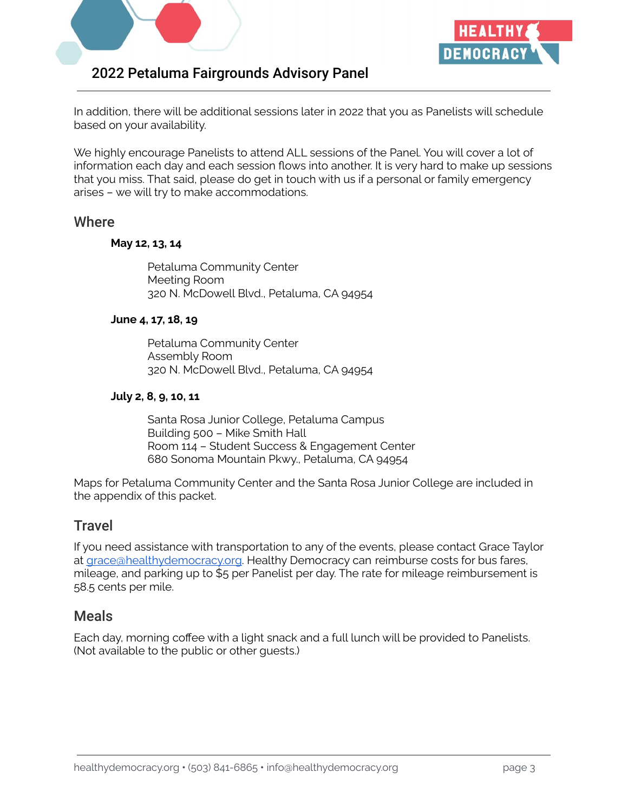



In addition, there will be additional sessions later in 2022 that you as Panelists will schedule based on your availability.

We highly encourage Panelists to attend ALL sessions of the Panel. You will cover a lot of information each day and each session flows into another. It is very hard to make up sessions that you miss. That said, please do get in touch with us if a personal or family emergency arises – we will try to make accommodations.

### **Where**

#### **May 12, 13, 14**

Petaluma Community Center Meeting Room 320 N. McDowell Blvd., Petaluma, CA 94954

### **June 4, 17, 18, 19**

Petaluma Community Center Assembly Room 320 N. McDowell Blvd., Petaluma, CA 94954

#### **July 2, 8, 9, 10, 11**

Santa Rosa Junior College, Petaluma Campus Building 500 – Mike Smith Hall Room 114 – Student Success & Engagement Center 680 Sonoma Mountain Pkwy., Petaluma, CA 94954

Maps for Petaluma Community Center and the Santa Rosa Junior College are included in the appendix of this packet.

### **Travel**

If you need assistance with transportation to any of the events, please contact Grace Taylor at [grace@healthydemocracy.org.](mailto:grace@healthydemocracy.org) Healthy Democracy can reimburse costs for bus fares, mileage, and parking up to \$5 per Panelist per day. The rate for mileage reimbursement is 58.5 cents per mile.

### Meals

Each day, morning coffee with a light snack and a full lunch will be provided to Panelists. (Not available to the public or other guests.)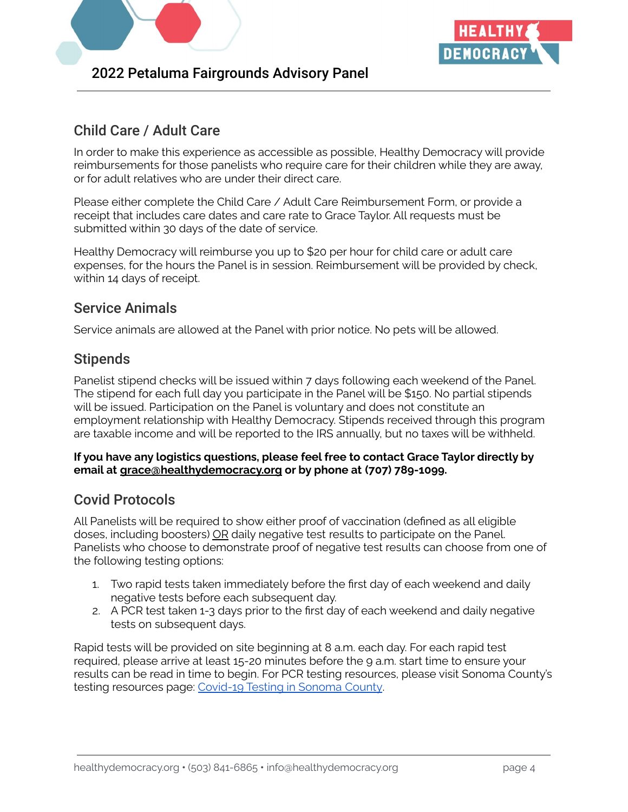



# Child Care / Adult Care

In order to make this experience as accessible as possible, Healthy Democracy will provide reimbursements for those panelists who require care for their children while they are away, or for adult relatives who are under their direct care.

Please either complete the Child Care / Adult Care Reimbursement Form, or provide a receipt that includes care dates and care rate to Grace Taylor. All requests must be submitted within 30 days of the date of service.

Healthy Democracy will reimburse you up to \$20 per hour for child care or adult care expenses, for the hours the Panel is in session. Reimbursement will be provided by check, within 14 days of receipt.

# Service Animals

Service animals are allowed at the Panel with prior notice. No pets will be allowed.

# **Stipends**

Panelist stipend checks will be issued within 7 days following each weekend of the Panel. The stipend for each full day you participate in the Panel will be \$150. No partial stipends will be issued. Participation on the Panel is voluntary and does not constitute an employment relationship with Healthy Democracy. Stipends received through this program are taxable income and will be reported to the IRS annually, but no taxes will be withheld.

### **If you have any logistics questions, please feel free to contact Grace Taylor directly by email at grace@healthydemocracy.org or by phone at (707) 789-1099.**

# Covid Protocols

All Panelists will be required to show either proof of vaccination (defined as all eligible doses, including boosters) OR daily negative test results to participate on the Panel. Panelists who choose to demonstrate proof of negative test results can choose from one of the following testing options:

- 1. Two rapid tests taken immediately before the first day of each weekend and daily negative tests before each subsequent day.
- 2. A PCR test taken 1-3 days prior to the first day of each weekend and daily negative tests on subsequent days.

Rapid tests will be provided on site beginning at 8 a.m. each day. For each rapid test required, please arrive at least 15-20 minutes before the 9 a.m. start time to ensure your results can be read in time to begin. For PCR testing resources, please visit Sonoma County's testing resources page: [Covid-19](https://socoemergency.org/emergency/novel-coronavirus/testing-and-tracing/) Testing in Sonoma County.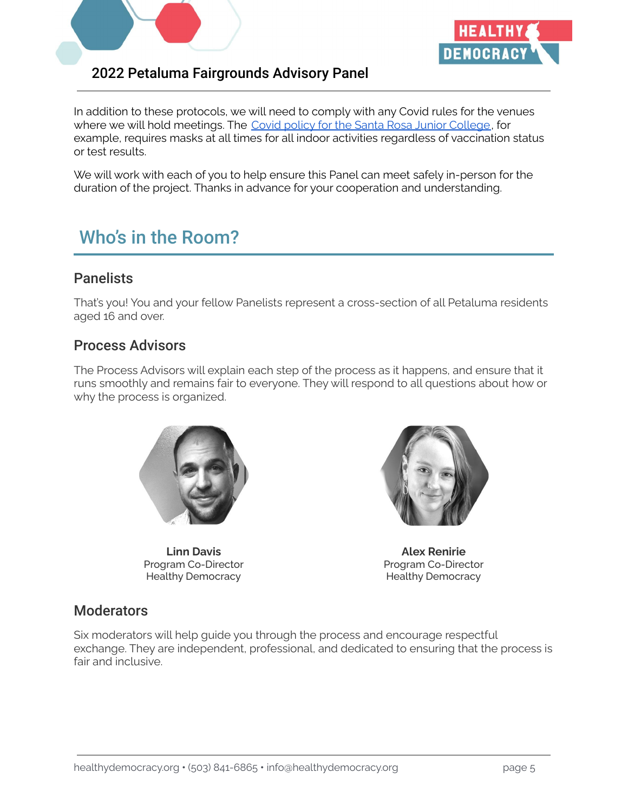



In addition to these protocols, we will need to comply with any Covid rules for the venues where we will hold meetings. The Covid policy for the Santa Rosa Junior [College](https://covid.santarosa.edu/vaccine-requirement-visitors), for example, requires masks at all times for all indoor activities regardless of vaccination status or test results.

We will work with each of you to help ensure this Panel can meet safely in-person for the duration of the project. Thanks in advance for your cooperation and understanding.

# Who's in the Room?

# **Panelists**

That's you! You and your fellow Panelists represent a cross-section of all Petaluma residents aged 16 and over.

## Process Advisors

The Process Advisors will explain each step of the process as it happens, and ensure that it runs smoothly and remains fair to everyone. They will respond to all questions about how or why the process is organized.



**Linn Davis** Program Co-Director Healthy Democracy



**Alex Renirie** Program Co-Director Healthy Democracy

## **Moderators**

Six moderators will help guide you through the process and encourage respectful exchange. They are independent, professional, and dedicated to ensuring that the process is fair and inclusive.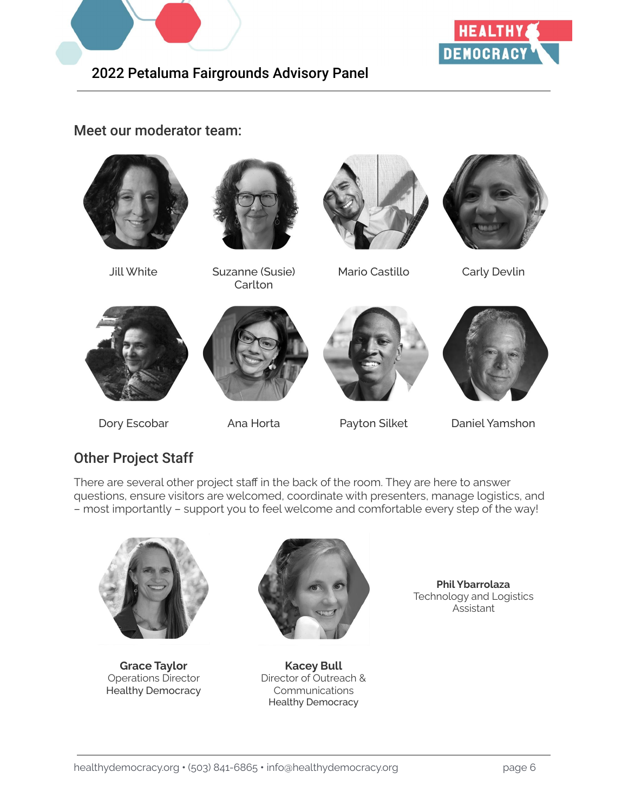



## Meet our moderator team:





Jill White Suzanne (Susie) **Carlton** 



Mario Castillo Carly Devlin









Dory Escobar Ana Horta Payton Silket Daniel Yamshon

# Other Project Staff

There are several other project staff in the back of the room. They are here to answer questions, ensure visitors are welcomed, coordinate with presenters, manage logistics, and – most importantly – support you to feel welcome and comfortable every step of the way!



**Grace Taylor** Operations Director Healthy Democracy



**Kacey Bull** Director of Outreach & Communications Healthy Democracy

**Phil Ybarrolaza** Technology and Logistics Assistant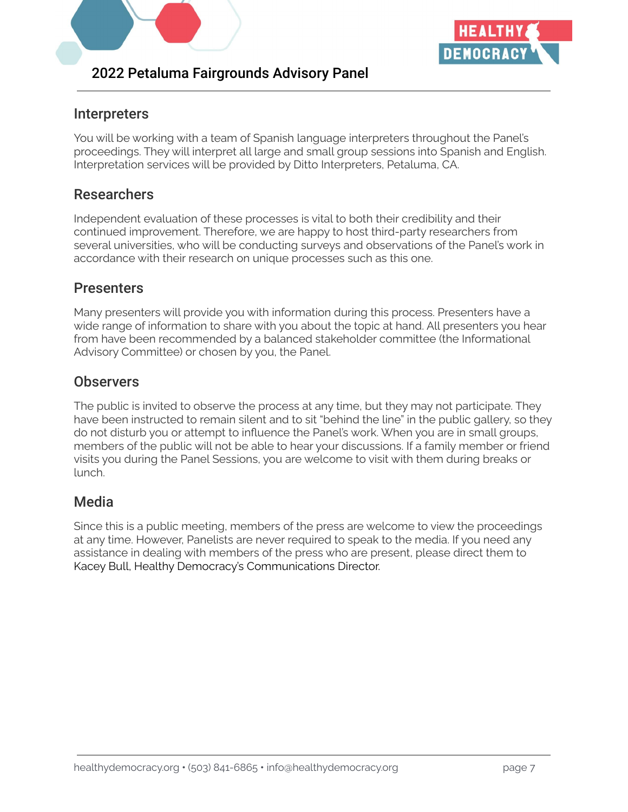



# Interpreters

You will be working with a team of Spanish language interpreters throughout the Panel's proceedings. They will interpret all large and small group sessions into Spanish and English. Interpretation services will be provided by Ditto Interpreters, Petaluma, CA.

# **Researchers**

Independent evaluation of these processes is vital to both their credibility and their continued improvement. Therefore, we are happy to host third-party researchers from several universities, who will be conducting surveys and observations of the Panel's work in accordance with their research on unique processes such as this one.

## **Presenters**

Many presenters will provide you with information during this process. Presenters have a wide range of information to share with you about the topic at hand. All presenters you hear from have been recommended by a balanced stakeholder committee (the Informational Advisory Committee) or chosen by you, the Panel.

### **Observers**

The public is invited to observe the process at any time, but they may not participate. They have been instructed to remain silent and to sit "behind the line" in the public gallery, so they do not disturb you or attempt to influence the Panel's work. When you are in small groups, members of the public will not be able to hear your discussions. If a family member or friend visits you during the Panel Sessions, you are welcome to visit with them during breaks or lunch.

## Media

Since this is a public meeting, members of the press are welcome to view the proceedings at any time. However, Panelists are never required to speak to the media. If you need any assistance in dealing with members of the press who are present, please direct them to Kacey Bull, Healthy Democracy's Communications Director.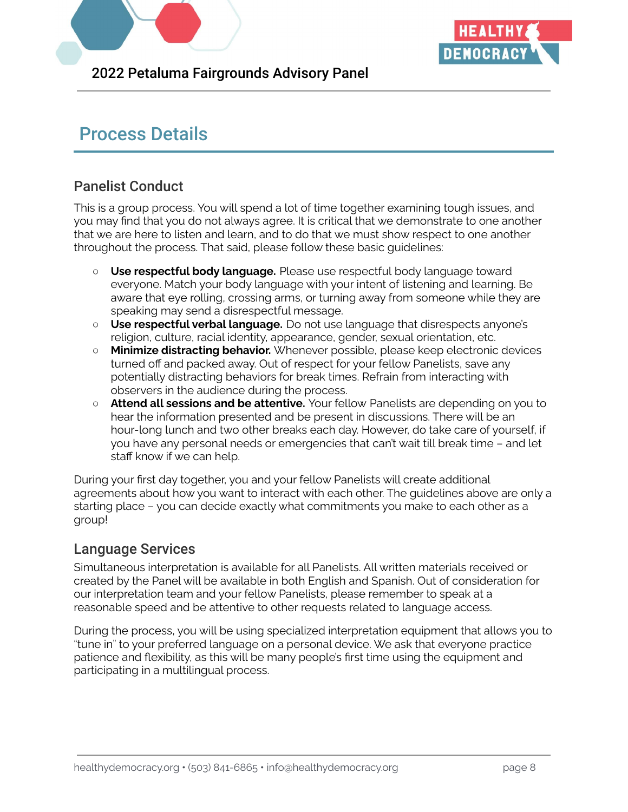



# Process Details

# Panelist Conduct

This is a group process. You will spend a lot of time together examining tough issues, and you may find that you do not always agree. It is critical that we demonstrate to one another that we are here to listen and learn, and to do that we must show respect to one another throughout the process. That said, please follow these basic guidelines:

- **Use respectful body language.** Please use respectful body language toward everyone. Match your body language with your intent of listening and learning. Be aware that eye rolling, crossing arms, or turning away from someone while they are speaking may send a disrespectful message.
- **Use respectful verbal language.** Do not use language that disrespects anyone's religion, culture, racial identity, appearance, gender, sexual orientation, etc.
- **Minimize distracting behavior.** Whenever possible, please keep electronic devices turned off and packed away. Out of respect for your fellow Panelists, save any potentially distracting behaviors for break times. Refrain from interacting with observers in the audience during the process.
- **Attend all sessions and be attentive.** Your fellow Panelists are depending on you to hear the information presented and be present in discussions. There will be an hour-long lunch and two other breaks each day. However, do take care of yourself, if you have any personal needs or emergencies that can't wait till break time – and let staff know if we can help.

During your first day together, you and your fellow Panelists will create additional agreements about how you want to interact with each other. The guidelines above are only a starting place – you can decide exactly what commitments you make to each other as a group!

## Language Services

Simultaneous interpretation is available for all Panelists. All written materials received or created by the Panel will be available in both English and Spanish. Out of consideration for our interpretation team and your fellow Panelists, please remember to speak at a reasonable speed and be attentive to other requests related to language access.

During the process, you will be using specialized interpretation equipment that allows you to "tune in" to your preferred language on a personal device. We ask that everyone practice patience and flexibility, as this will be many people's first time using the equipment and participating in a multilingual process.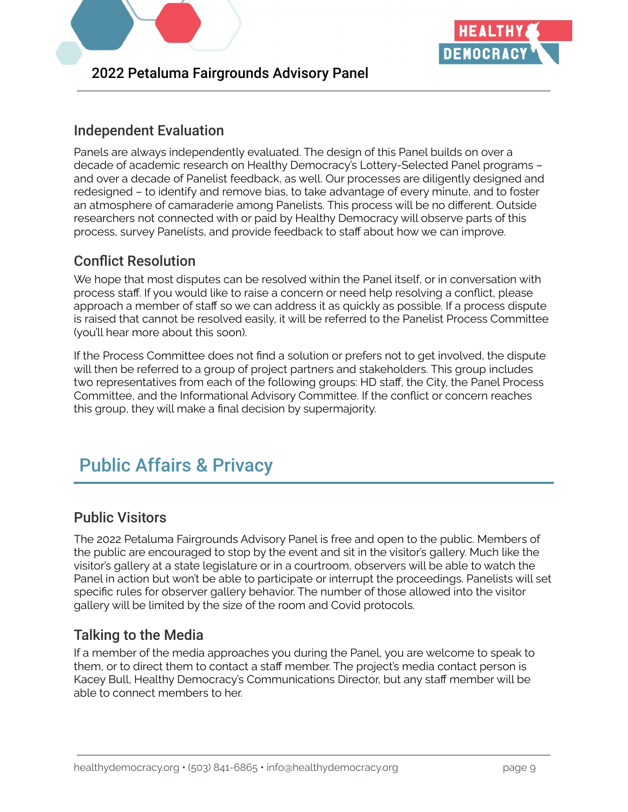



# Independent Evaluation

Panels are always independently evaluated. The design of this Panel builds on over a decade of academic research on Healthy Democracy's Lottery-Selected Panel programs – and over a decade of Panelist feedback, as well. Our processes are diligently designed and redesigned – to identify and remove bias, to take advantage of every minute, and to foster an atmosphere of camaraderie among Panelists. This process will be no different. Outside researchers not connected with or paid by Healthy Democracy will observe parts of this process, survey Panelists, and provide feedback to staff about how we can improve.

# Conflict Resolution

We hope that most disputes can be resolved within the Panel itself, or in conversation with process staff. If you would like to raise a concern or need help resolving a conflict, please approach a member of staff so we can address it as quickly as possible. If a process dispute is raised that cannot be resolved easily, it will be referred to the Panelist Process Committee (you'll hear more about this soon).

If the Process Committee does not find a solution or prefers not to get involved, the dispute will then be referred to a group of project partners and stakeholders. This group includes two representatives from each of the following groups: HD staff, the City, the Panel Process Committee, and the Informational Advisory Committee. If the conflict or concern reaches this group, they will make a final decision by supermajority.

# Public Affairs & Privacy

## Public Visitors

The 2022 Petaluma Fairgrounds Advisory Panel is free and open to the public. Members of the public are encouraged to stop by the event and sit in the visitor's gallery. Much like the visitor's gallery at a state legislature or in a courtroom, observers will be able to watch the Panel in action but won't be able to participate or interrupt the proceedings. Panelists will set specific rules for observer gallery behavior. The number of those allowed into the visitor gallery will be limited by the size of the room and Covid protocols.

# Talking to the Media

If a member of the media approaches you during the Panel, you are welcome to speak to them, or to direct them to contact a staff member. The project's media contact person is Kacey Bull, Healthy Democracy's Communications Director, but any staff member will be able to connect members to her.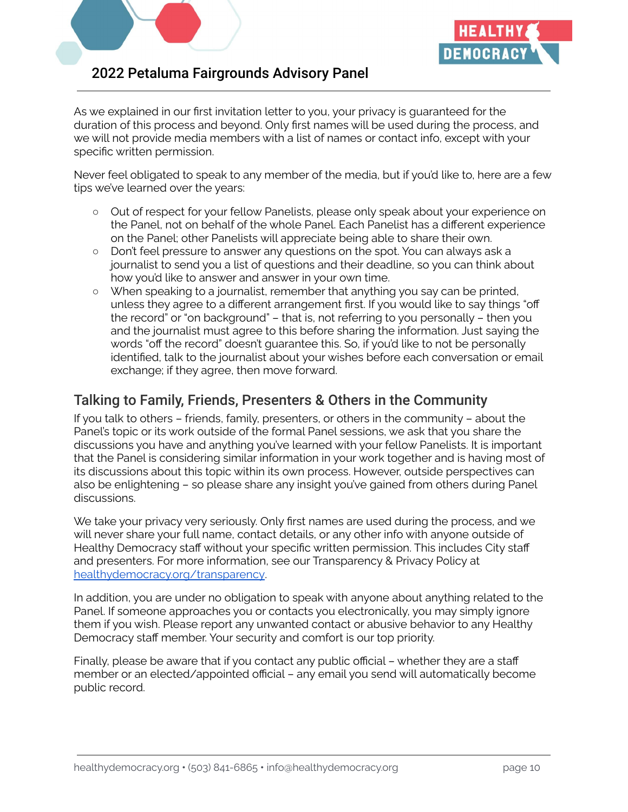



As we explained in our first invitation letter to you, your privacy is guaranteed for the duration of this process and beyond. Only first names will be used during the process, and we will not provide media members with a list of names or contact info, except with your specific written permission.

Never feel obligated to speak to any member of the media, but if you'd like to, here are a few tips we've learned over the years:

- Out of respect for your fellow Panelists, please only speak about your experience on the Panel, not on behalf of the whole Panel. Each Panelist has a different experience on the Panel; other Panelists will appreciate being able to share their own.
- Don't feel pressure to answer any questions on the spot. You can always ask a journalist to send you a list of questions and their deadline, so you can think about how you'd like to answer and answer in your own time.
- When speaking to a journalist, remember that anything you say can be printed, unless they agree to a different arrangement first. If you would like to say things "off the record" or "on background" – that is, not referring to you personally – then you and the journalist must agree to this before sharing the information. Just saying the words "off the record" doesn't guarantee this. So, if you'd like to not be personally identified, talk to the journalist about your wishes before each conversation or email exchange; if they agree, then move forward.

# Talking to Family, Friends, Presenters & Others in the Community

If you talk to others – friends, family, presenters, or others in the community – about the Panel's topic or its work outside of the formal Panel sessions, we ask that you share the discussions you have and anything you've learned with your fellow Panelists. It is important that the Panel is considering similar information in your work together and is having most of its discussions about this topic within its own process. However, outside perspectives can also be enlightening – so please share any insight you've gained from others during Panel discussions.

We take your privacy very seriously. Only first names are used during the process, and we will never share your full name, contact details, or any other info with anyone outside of Healthy Democracy staff without your specific written permission. This includes City staff and presenters. For more information, see our Transparency & Privacy Policy at [healthydemocracy.org/transparency](https://healthydemocracy.org/learning-center/transparency-privacy-policy/).

In addition, you are under no obligation to speak with anyone about anything related to the Panel. If someone approaches you or contacts you electronically, you may simply ignore them if you wish. Please report any unwanted contact or abusive behavior to any Healthy Democracy staff member. Your security and comfort is our top priority.

Finally, please be aware that if you contact any public official – whether they are a staff member or an elected/appointed official – any email you send will automatically become public record.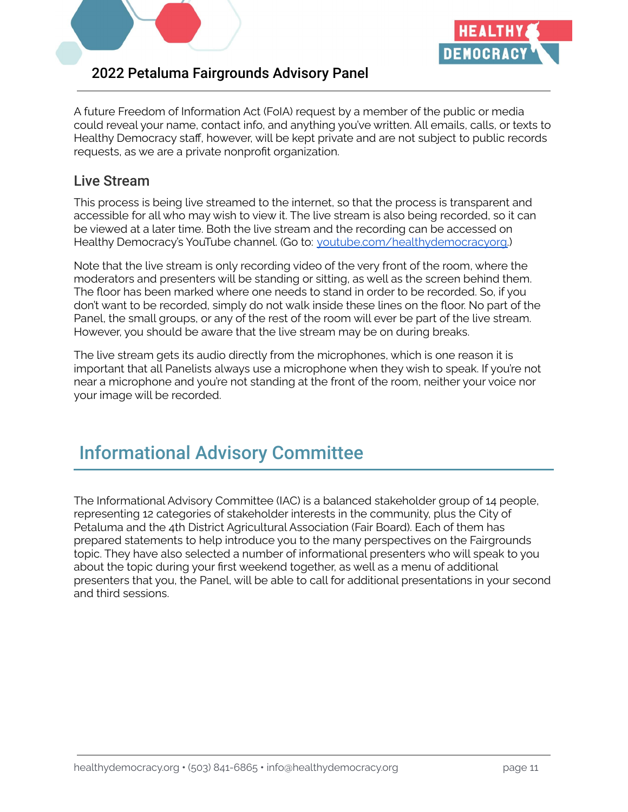



A future Freedom of Information Act (FoIA) request by a member of the public or media could reveal your name, contact info, and anything you've written. All emails, calls, or texts to Healthy Democracy staff, however, will be kept private and are not subject to public records requests, as we are a private nonprofit organization.

## Live Stream

This process is being live streamed to the internet, so that the process is transparent and accessible for all who may wish to view it. The live stream is also being recorded, so it can be viewed at a later time. Both the live stream and the recording can be accessed on Healthy Democracy's YouTube channel. (Go to: [youtube.com/healthydemocracyorg.](https://youtube.com/healthydemocracyorg))

Note that the live stream is only recording video of the very front of the room, where the moderators and presenters will be standing or sitting, as well as the screen behind them. The floor has been marked where one needs to stand in order to be recorded. So, if you don't want to be recorded, simply do not walk inside these lines on the floor. No part of the Panel, the small groups, or any of the rest of the room will ever be part of the live stream. However, you should be aware that the live stream may be on during breaks.

The live stream gets its audio directly from the microphones, which is one reason it is important that all Panelists always use a microphone when they wish to speak. If you're not near a microphone and you're not standing at the front of the room, neither your voice nor your image will be recorded.

# Informational Advisory Committee

The Informational Advisory Committee (IAC) is a balanced stakeholder group of 14 people, representing 12 categories of stakeholder interests in the community, plus the City of Petaluma and the 4th District Agricultural Association (Fair Board). Each of them has prepared statements to help introduce you to the many perspectives on the Fairgrounds topic. They have also selected a number of informational presenters who will speak to you about the topic during your first weekend together, as well as a menu of additional presenters that you, the Panel, will be able to call for additional presentations in your second and third sessions.